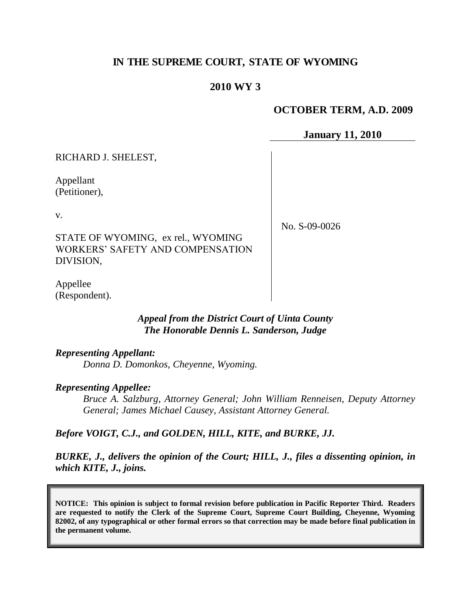# **IN THE SUPREME COURT, STATE OF WYOMING**

### **2010 WY 3**

#### **OCTOBER TERM, A.D. 2009**

**January 11, 2010**

RICHARD J. SHELEST,

Appellant (Petitioner),

v.

STATE OF WYOMING, ex rel., WYOMING WORKERS' SAFETY AND COMPENSATION DIVISION,

No. S-09-0026

Appellee (Respondent).

#### *Appeal from the District Court of Uinta County The Honorable Dennis L. Sanderson, Judge*

*Representing Appellant:*

*Donna D. Domonkos, Cheyenne, Wyoming.*

#### *Representing Appellee:*

*Bruce A. Salzburg, Attorney General; John William Renneisen, Deputy Attorney General; James Michael Causey, Assistant Attorney General.*

#### *Before VOIGT, C.J., and GOLDEN, HILL, KITE, and BURKE, JJ.*

*BURKE, J., delivers the opinion of the Court; HILL, J., files a dissenting opinion, in which KITE, J., joins.*

**NOTICE: This opinion is subject to formal revision before publication in Pacific Reporter Third. Readers are requested to notify the Clerk of the Supreme Court, Supreme Court Building, Cheyenne, Wyoming 82002, of any typographical or other formal errors so that correction may be made before final publication in the permanent volume.**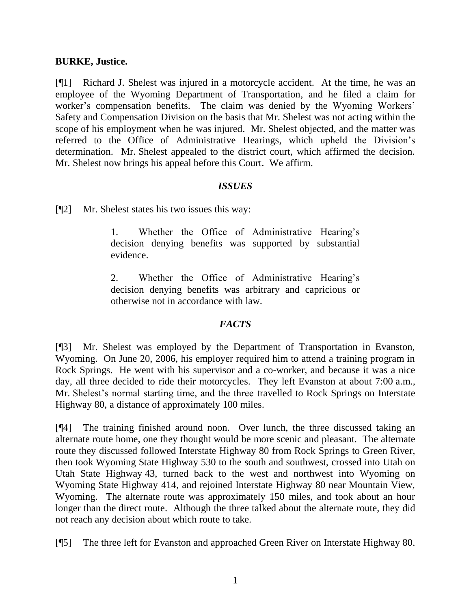#### **BURKE, Justice.**

[¶1] Richard J. Shelest was injured in a motorcycle accident. At the time, he was an employee of the Wyoming Department of Transportation, and he filed a claim for worker's compensation benefits. The claim was denied by the Wyoming Workers' Safety and Compensation Division on the basis that Mr. Shelest was not acting within the scope of his employment when he was injured. Mr. Shelest objected, and the matter was referred to the Office of Administrative Hearings, which upheld the Division's determination. Mr. Shelest appealed to the district court, which affirmed the decision. Mr. Shelest now brings his appeal before this Court. We affirm.

## *ISSUES*

[¶2] Mr. Shelest states his two issues this way:

1. Whether the Office of Administrative Hearing's decision denying benefits was supported by substantial evidence.

2. Whether the Office of Administrative Hearing's decision denying benefits was arbitrary and capricious or otherwise not in accordance with law.

## *FACTS*

[¶3] Mr. Shelest was employed by the Department of Transportation in Evanston, Wyoming. On June 20, 2006, his employer required him to attend a training program in Rock Springs. He went with his supervisor and a co-worker, and because it was a nice day, all three decided to ride their motorcycles. They left Evanston at about 7:00 a.m., Mr. Shelest's normal starting time, and the three travelled to Rock Springs on Interstate Highway 80, a distance of approximately 100 miles.

[¶4] The training finished around noon. Over lunch, the three discussed taking an alternate route home, one they thought would be more scenic and pleasant. The alternate route they discussed followed Interstate Highway 80 from Rock Springs to Green River, then took Wyoming State Highway 530 to the south and southwest, crossed into Utah on Utah State Highway 43, turned back to the west and northwest into Wyoming on Wyoming State Highway 414, and rejoined Interstate Highway 80 near Mountain View, Wyoming. The alternate route was approximately 150 miles, and took about an hour longer than the direct route. Although the three talked about the alternate route, they did not reach any decision about which route to take.

[¶5] The three left for Evanston and approached Green River on Interstate Highway 80.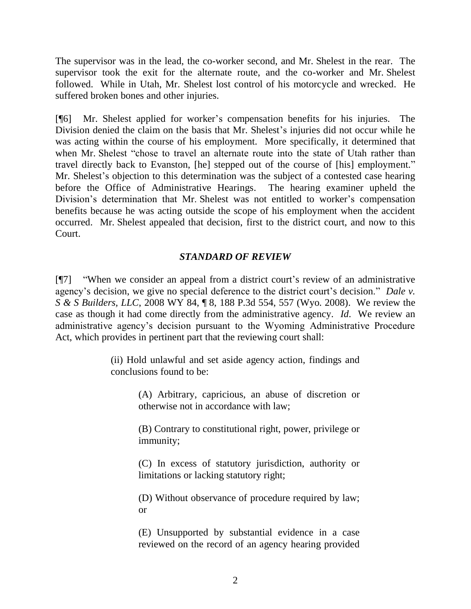The supervisor was in the lead, the co-worker second, and Mr. Shelest in the rear. The supervisor took the exit for the alternate route, and the co-worker and Mr. Shelest followed. While in Utah, Mr. Shelest lost control of his motorcycle and wrecked. He suffered broken bones and other injuries.

[¶6] Mr. Shelest applied for worker's compensation benefits for his injuries. The Division denied the claim on the basis that Mr. Shelest's injuries did not occur while he was acting within the course of his employment. More specifically, it determined that when Mr. Shelest "chose to travel an alternate route into the state of Utah rather than travel directly back to Evanston, [he] stepped out of the course of [his] employment." Mr. Shelest's objection to this determination was the subject of a contested case hearing before the Office of Administrative Hearings. The hearing examiner upheld the Division's determination that Mr. Shelest was not entitled to worker's compensation benefits because he was acting outside the scope of his employment when the accident occurred. Mr. Shelest appealed that decision, first to the district court, and now to this Court.

# *STANDARD OF REVIEW*

[¶7] "When we consider an appeal from a district court's review of an administrative agency's decision, we give no special deference to the district court's decision." *Dale v. S & S Builders, LLC*, 2008 WY 84, ¶ 8, 188 P.3d 554, 557 (Wyo. 2008). We review the case as though it had come directly from the administrative agency. *Id*. We review an administrative agency's decision pursuant to the Wyoming Administrative Procedure Act, which provides in pertinent part that the reviewing court shall:

> (ii) Hold unlawful and set aside agency action, findings and conclusions found to be:

> > (A) Arbitrary, capricious, an abuse of discretion or otherwise not in accordance with law;

> > (B) Contrary to constitutional right, power, privilege or immunity;

> > (C) In excess of statutory jurisdiction, authority or limitations or lacking statutory right;

> > (D) Without observance of procedure required by law; or

> > (E) Unsupported by substantial evidence in a case reviewed on the record of an agency hearing provided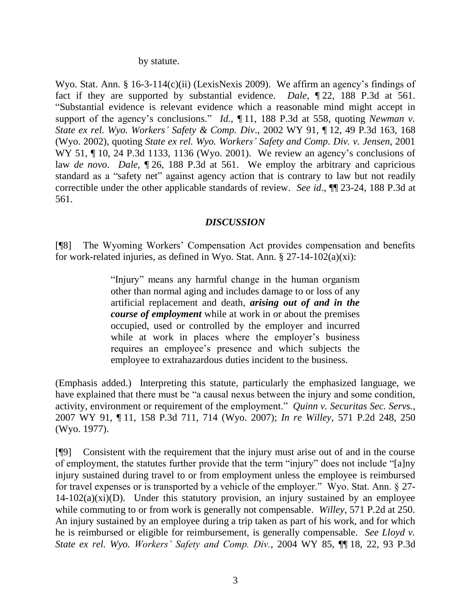by statute.

Wyo. Stat. Ann. § 16-3-114(c)(ii) (LexisNexis 2009). We affirm an agency's findings of fact if they are supported by substantial evidence. *Dale*, ¶ 22, 188 P.3d at 561. "Substantial evidence is relevant evidence which a reasonable mind might accept in support of the agency's conclusions." *Id.*, 11, 188 P.3d at 558, quoting *Newman v. State ex rel. Wyo. Workers' Safety & Comp. Div*., 2002 WY 91, ¶ 12, 49 P.3d 163, 168 (Wyo. 2002), quoting *State ex rel. Wyo. Workers' Safety and Comp. Div. v. Jensen*, 2001 WY 51,  $\P$  10, 24 P.3d 1133, 1136 (Wyo. 2001). We review an agency's conclusions of law *de novo*. *Dale*, ¶ 26, 188 P.3d at 561. We employ the arbitrary and capricious standard as a "safety net" against agency action that is contrary to law but not readily correctible under the other applicable standards of review. *See id*., ¶¶ 23-24, 188 P.3d at 561.

## *DISCUSSION*

[¶8] The Wyoming Workers' Compensation Act provides compensation and benefits for work-related injuries, as defined in Wyo. Stat. Ann.  $\S 27-14-102(a)(xi)$ :

> "Injury" means any harmful change in the human organism other than normal aging and includes damage to or loss of any artificial replacement and death, *arising out of and in the course of employment* while at work in or about the premises occupied, used or controlled by the employer and incurred while at work in places where the employer's business requires an employee's presence and which subjects the employee to extrahazardous duties incident to the business.

(Emphasis added.) Interpreting this statute, particularly the emphasized language, we have explained that there must be "a causal nexus between the injury and some condition, activity, environment or requirement of the employment." *Quinn v. Securitas Sec. Servs.*, 2007 WY 91, ¶ 11, 158 P.3d 711, 714 (Wyo. 2007); *In re Willey*, 571 P.2d 248, 250 (Wyo. 1977).

[¶9] Consistent with the requirement that the injury must arise out of and in the course of employment, the statutes further provide that the term "injury" does not include "[a]ny injury sustained during travel to or from employment unless the employee is reimbursed for travel expenses or is transported by a vehicle of the employer." Wyo. Stat. Ann. § 27-  $14-102(a)(xi)(D)$ . Under this statutory provision, an injury sustained by an employee while commuting to or from work is generally not compensable. *Willey*, 571 P.2d at 250. An injury sustained by an employee during a trip taken as part of his work, and for which he is reimbursed or eligible for reimbursement, is generally compensable. *See Lloyd v. State ex rel. Wyo. Workers' Safety and Comp. Div.*, 2004 WY 85, ¶¶ 18, 22, 93 P.3d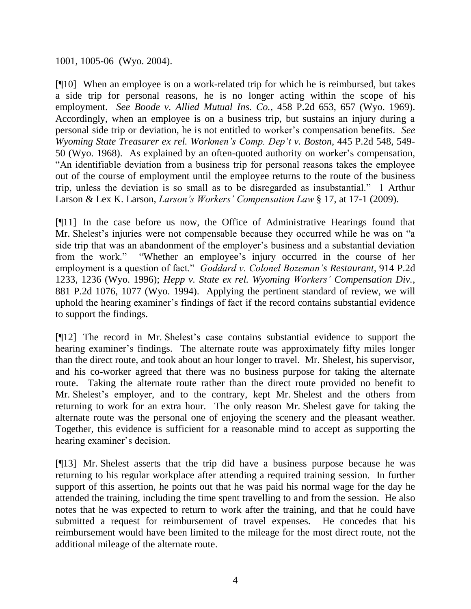1001, 1005-06 (Wyo. 2004).

[¶10] When an employee is on a work-related trip for which he is reimbursed, but takes a side trip for personal reasons, he is no longer acting within the scope of his employment. *See Boode v. Allied Mutual Ins. Co.*, 458 P.2d 653, 657 (Wyo. 1969). Accordingly, when an employee is on a business trip, but sustains an injury during a personal side trip or deviation, he is not entitled to worker's compensation benefits. *See Wyoming State Treasurer ex rel. Workmen's Comp. Dep't v. Boston*, 445 P.2d 548, 549- 50 (Wyo. 1968). As explained by an often-quoted authority on worker's compensation, "An identifiable deviation from a business trip for personal reasons takes the employee out of the course of employment until the employee returns to the route of the business trip, unless the deviation is so small as to be disregarded as insubstantial." 1 Arthur Larson & Lex K. Larson, *Larson's Workers' Compensation Law* § 17, at 17-1 (2009).

[¶11] In the case before us now, the Office of Administrative Hearings found that Mr. Shelest's injuries were not compensable because they occurred while he was on "a side trip that was an abandonment of the employer's business and a substantial deviation from the work." "Whether an employee's injury occurred in the course of her employment is a question of fact." *Goddard v. Colonel Bozeman's Restaurant*, 914 P.2d 1233, 1236 (Wyo. 1996); *Hepp v. State ex rel. Wyoming Workers' Compensation Div.*, 881 P.2d 1076, 1077 (Wyo. 1994). Applying the pertinent standard of review, we will uphold the hearing examiner's findings of fact if the record contains substantial evidence to support the findings.

[¶12] The record in Mr. Shelest's case contains substantial evidence to support the hearing examiner's findings. The alternate route was approximately fifty miles longer than the direct route, and took about an hour longer to travel. Mr. Shelest, his supervisor, and his co-worker agreed that there was no business purpose for taking the alternate route. Taking the alternate route rather than the direct route provided no benefit to Mr. Shelest's employer, and to the contrary, kept Mr. Shelest and the others from returning to work for an extra hour. The only reason Mr. Shelest gave for taking the alternate route was the personal one of enjoying the scenery and the pleasant weather. Together, this evidence is sufficient for a reasonable mind to accept as supporting the hearing examiner's decision.

[¶13] Mr. Shelest asserts that the trip did have a business purpose because he was returning to his regular workplace after attending a required training session. In further support of this assertion, he points out that he was paid his normal wage for the day he attended the training, including the time spent travelling to and from the session. He also notes that he was expected to return to work after the training, and that he could have submitted a request for reimbursement of travel expenses. He concedes that his reimbursement would have been limited to the mileage for the most direct route, not the additional mileage of the alternate route.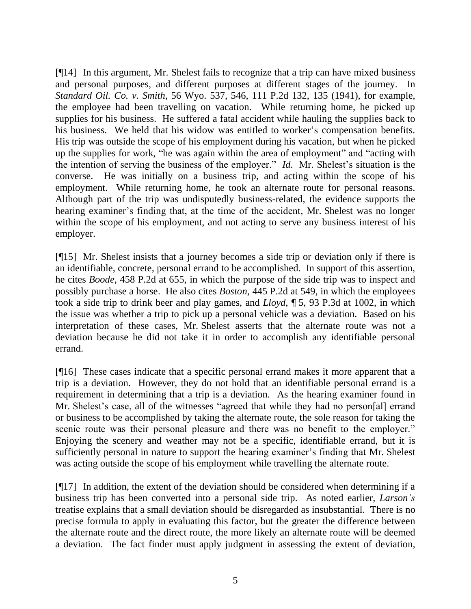[¶14] In this argument, Mr. Shelest fails to recognize that a trip can have mixed business and personal purposes, and different purposes at different stages of the journey. In *Standard Oil. Co. v. Smith*, 56 Wyo. 537, 546, 111 P.2d 132, 135 (1941), for example, the employee had been travelling on vacation. While returning home, he picked up supplies for his business. He suffered a fatal accident while hauling the supplies back to his business. We held that his widow was entitled to worker's compensation benefits. His trip was outside the scope of his employment during his vacation, but when he picked up the supplies for work, "he was again within the area of employment" and "acting with the intention of serving the business of the employer." *Id*. Mr. Shelest's situation is the converse. He was initially on a business trip, and acting within the scope of his employment. While returning home, he took an alternate route for personal reasons. Although part of the trip was undisputedly business-related, the evidence supports the hearing examiner's finding that, at the time of the accident, Mr. Shelest was no longer within the scope of his employment, and not acting to serve any business interest of his employer.

[¶15] Mr. Shelest insists that a journey becomes a side trip or deviation only if there is an identifiable, concrete, personal errand to be accomplished. In support of this assertion, he cites *Boode*, 458 P.2d at 655, in which the purpose of the side trip was to inspect and possibly purchase a horse. He also cites *Boston*, 445 P.2d at 549, in which the employees took a side trip to drink beer and play games, and *Lloyd*, ¶ 5, 93 P.3d at 1002, in which the issue was whether a trip to pick up a personal vehicle was a deviation. Based on his interpretation of these cases, Mr. Shelest asserts that the alternate route was not a deviation because he did not take it in order to accomplish any identifiable personal errand.

[¶16] These cases indicate that a specific personal errand makes it more apparent that a trip is a deviation. However, they do not hold that an identifiable personal errand is a requirement in determining that a trip is a deviation. As the hearing examiner found in Mr. Shelest's case, all of the witnesses "agreed that while they had no person[al] errand or business to be accomplished by taking the alternate route, the sole reason for taking the scenic route was their personal pleasure and there was no benefit to the employer." Enjoying the scenery and weather may not be a specific, identifiable errand, but it is sufficiently personal in nature to support the hearing examiner's finding that Mr. Shelest was acting outside the scope of his employment while travelling the alternate route.

[¶17] In addition, the extent of the deviation should be considered when determining if a business trip has been converted into a personal side trip. As noted earlier, *Larson's* treatise explains that a small deviation should be disregarded as insubstantial. There is no precise formula to apply in evaluating this factor, but the greater the difference between the alternate route and the direct route, the more likely an alternate route will be deemed a deviation. The fact finder must apply judgment in assessing the extent of deviation,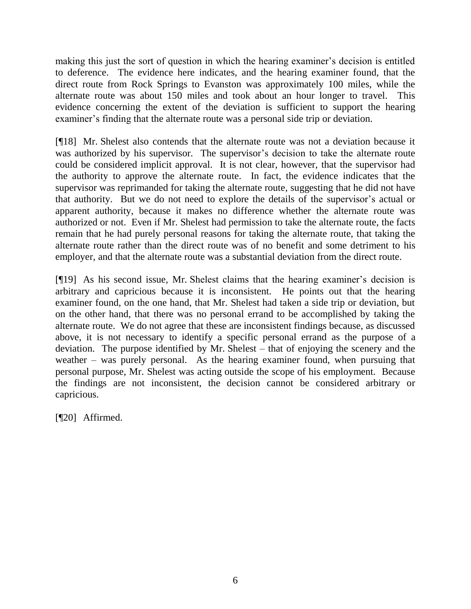making this just the sort of question in which the hearing examiner's decision is entitled to deference. The evidence here indicates, and the hearing examiner found, that the direct route from Rock Springs to Evanston was approximately 100 miles, while the alternate route was about 150 miles and took about an hour longer to travel. This evidence concerning the extent of the deviation is sufficient to support the hearing examiner's finding that the alternate route was a personal side trip or deviation.

[¶18] Mr. Shelest also contends that the alternate route was not a deviation because it was authorized by his supervisor. The supervisor's decision to take the alternate route could be considered implicit approval. It is not clear, however, that the supervisor had the authority to approve the alternate route. In fact, the evidence indicates that the supervisor was reprimanded for taking the alternate route, suggesting that he did not have that authority. But we do not need to explore the details of the supervisor's actual or apparent authority, because it makes no difference whether the alternate route was authorized or not. Even if Mr. Shelest had permission to take the alternate route, the facts remain that he had purely personal reasons for taking the alternate route, that taking the alternate route rather than the direct route was of no benefit and some detriment to his employer, and that the alternate route was a substantial deviation from the direct route.

[¶19] As his second issue, Mr. Shelest claims that the hearing examiner's decision is arbitrary and capricious because it is inconsistent. He points out that the hearing examiner found, on the one hand, that Mr. Shelest had taken a side trip or deviation, but on the other hand, that there was no personal errand to be accomplished by taking the alternate route. We do not agree that these are inconsistent findings because, as discussed above, it is not necessary to identify a specific personal errand as the purpose of a deviation. The purpose identified by Mr. Shelest – that of enjoying the scenery and the weather – was purely personal. As the hearing examiner found, when pursuing that personal purpose, Mr. Shelest was acting outside the scope of his employment. Because the findings are not inconsistent, the decision cannot be considered arbitrary or capricious.

[¶20] Affirmed.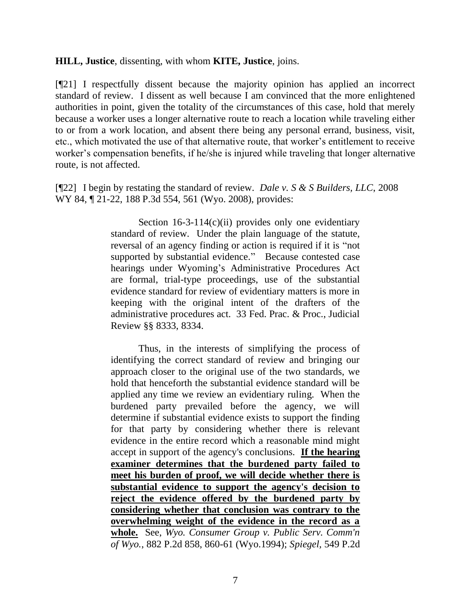#### **HILL, Justice**, dissenting, with whom **KITE, Justice**, joins.

[¶21] I respectfully dissent because the majority opinion has applied an incorrect standard of review. I dissent as well because I am convinced that the more enlightened authorities in point, given the totality of the circumstances of this case, hold that merely because a worker uses a longer alternative route to reach a location while traveling either to or from a work location, and absent there being any personal errand, business, visit, etc., which motivated the use of that alternative route, that worker's entitlement to receive worker's compensation benefits, if he/she is injured while traveling that longer alternative route, is not affected.

[¶22] I begin by restating the standard of review. *Dale v. S & S Builders, LLC*, 2008 WY 84, 121-22, 188 P.3d 554, 561 (Wyo. 2008), provides:

> Section  $16-3-114(c)(ii)$  provides only one evidentiary standard of review. Under the plain language of the statute, reversal of an agency finding or action is required if it is "not supported by substantial evidence." Because contested case hearings under Wyoming's Administrative Procedures Act are formal, trial-type proceedings, use of the substantial evidence standard for review of evidentiary matters is more in keeping with the original intent of the drafters of the administrative procedures act. 33 Fed. Prac. & Proc., Judicial Review §§ 8333, 8334.

> Thus, in the interests of simplifying the process of identifying the correct standard of review and bringing our approach closer to the original use of the two standards, we hold that henceforth the substantial evidence standard will be applied any time we review an evidentiary ruling. When the burdened party prevailed before the agency, we will determine if substantial evidence exists to support the finding for that party by considering whether there is relevant evidence in the entire record which a reasonable mind might accept in support of the agency's conclusions. **If the hearing examiner determines that the burdened party failed to meet his burden of proof, we will decide whether there is substantial evidence to support the agency's decision to reject the evidence offered by the burdened party by considering whether that conclusion was contrary to the overwhelming weight of the evidence in the record as a whole.** See, *Wyo. Consumer Group v. Public Serv. Comm'n of Wyo.*, 882 P.2d 858, 860-61 (Wyo.1994); *Spiegel,* 549 P.2d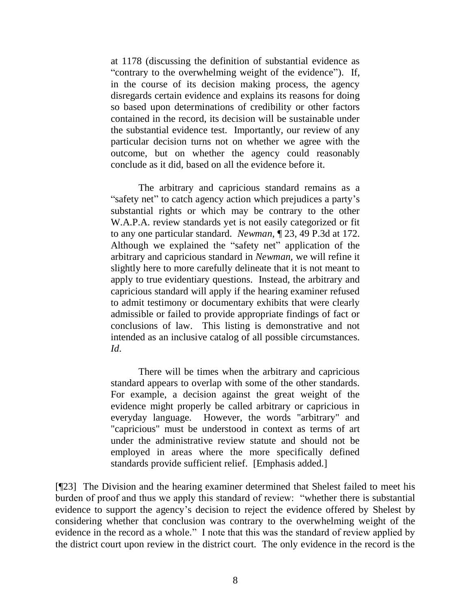at 1178 (discussing the definition of substantial evidence as "contrary to the overwhelming weight of the evidence"). If, in the course of its decision making process, the agency disregards certain evidence and explains its reasons for doing so based upon determinations of credibility or other factors contained in the record, its decision will be sustainable under the substantial evidence test. Importantly, our review of any particular decision turns not on whether we agree with the outcome, but on whether the agency could reasonably conclude as it did, based on all the evidence before it.

The arbitrary and capricious standard remains as a "safety net" to catch agency action which prejudices a party's substantial rights or which may be contrary to the other W.A.P.A. review standards yet is not easily categorized or fit to any one particular standard. *Newman*, ¶ 23, 49 P.3d at 172. Although we explained the "safety net" application of the arbitrary and capricious standard in *Newman*, we will refine it slightly here to more carefully delineate that it is not meant to apply to true evidentiary questions. Instead, the arbitrary and capricious standard will apply if the hearing examiner refused to admit testimony or documentary exhibits that were clearly admissible or failed to provide appropriate findings of fact or conclusions of law. This listing is demonstrative and not intended as an inclusive catalog of all possible circumstances. *Id*.

There will be times when the arbitrary and capricious standard appears to overlap with some of the other standards. For example, a decision against the great weight of the evidence might properly be called arbitrary or capricious in everyday language. However, the words "arbitrary" and "capricious" must be understood in context as terms of art under the administrative review statute and should not be employed in areas where the more specifically defined standards provide sufficient relief. [Emphasis added.]

[¶23] The Division and the hearing examiner determined that Shelest failed to meet his burden of proof and thus we apply this standard of review: "whether there is substantial evidence to support the agency's decision to reject the evidence offered by Shelest by considering whether that conclusion was contrary to the overwhelming weight of the evidence in the record as a whole." I note that this was the standard of review applied by the district court upon review in the district court. The only evidence in the record is the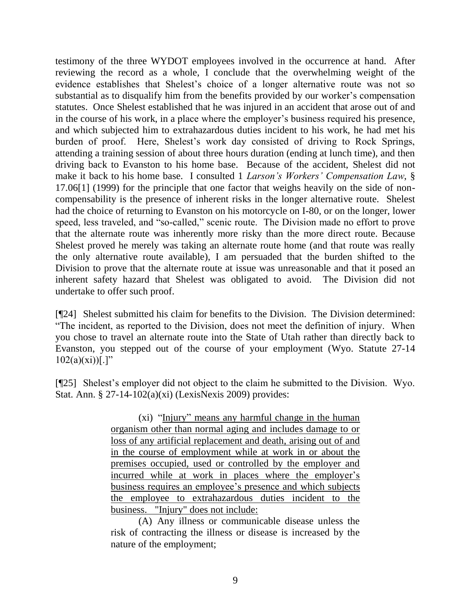testimony of the three WYDOT employees involved in the occurrence at hand. After reviewing the record as a whole, I conclude that the overwhelming weight of the evidence establishes that Shelest's choice of a longer alternative route was not so substantial as to disqualify him from the benefits provided by our worker's compensation statutes. Once Shelest established that he was injured in an accident that arose out of and in the course of his work, in a place where the employer's business required his presence, and which subjected him to extrahazardous duties incident to his work, he had met his burden of proof. Here, Shelest's work day consisted of driving to Rock Springs, attending a training session of about three hours duration (ending at lunch time), and then driving back to Evanston to his home base. Because of the accident, Shelest did not make it back to his home base. I consulted 1 *Larson's Workers' Compensation Law*, § 17.06[1] (1999) for the principle that one factor that weighs heavily on the side of noncompensability is the presence of inherent risks in the longer alternative route. Shelest had the choice of returning to Evanston on his motorcycle on I-80, or on the longer, lower speed, less traveled, and "so-called," scenic route. The Division made no effort to prove that the alternate route was inherently more risky than the more direct route. Because Shelest proved he merely was taking an alternate route home (and that route was really the only alternative route available), I am persuaded that the burden shifted to the Division to prove that the alternate route at issue was unreasonable and that it posed an inherent safety hazard that Shelest was obligated to avoid. The Division did not undertake to offer such proof.

[¶24] Shelest submitted his claim for benefits to the Division. The Division determined: "The incident, as reported to the Division, does not meet the definition of injury. When you chose to travel an alternate route into the State of Utah rather than directly back to Evanston, you stepped out of the course of your employment (Wyo. Statute 27-14  $102(a)(xi))$ [.]"

[¶25] Shelest's employer did not object to the claim he submitted to the Division. Wyo. Stat. Ann. § 27-14-102(a)(xi) (LexisNexis 2009) provides:

> (xi) "Injury" means any harmful change in the human organism other than normal aging and includes damage to or loss of any artificial replacement and death, arising out of and in the course of employment while at work in or about the premises occupied, used or controlled by the employer and incurred while at work in places where the employer's business requires an employee's presence and which subjects the employee to extrahazardous duties incident to the business. "Injury" does not include:

> (A) Any illness or communicable disease unless the risk of contracting the illness or disease is increased by the nature of the employment;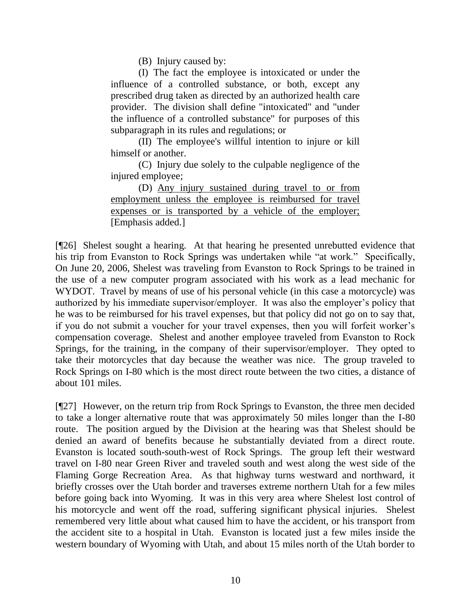(B) Injury caused by:

(I) The fact the employee is intoxicated or under the influence of a controlled substance, or both, except any prescribed drug taken as directed by an authorized health care provider. The division shall define "intoxicated" and "under the influence of a controlled substance" for purposes of this subparagraph in its rules and regulations; or

(II) The employee's willful intention to injure or kill himself or another.

(C) Injury due solely to the culpable negligence of the injured employee;

(D) Any injury sustained during travel to or from employment unless the employee is reimbursed for travel expenses or is transported by a vehicle of the employer; [Emphasis added.]

[¶26] Shelest sought a hearing. At that hearing he presented unrebutted evidence that his trip from Evanston to Rock Springs was undertaken while "at work." Specifically, On June 20, 2006, Shelest was traveling from Evanston to Rock Springs to be trained in the use of a new computer program associated with his work as a lead mechanic for WYDOT. Travel by means of use of his personal vehicle (in this case a motorcycle) was authorized by his immediate supervisor/employer. It was also the employer's policy that he was to be reimbursed for his travel expenses, but that policy did not go on to say that, if you do not submit a voucher for your travel expenses, then you will forfeit worker's compensation coverage. Shelest and another employee traveled from Evanston to Rock Springs, for the training, in the company of their supervisor/employer. They opted to take their motorcycles that day because the weather was nice. The group traveled to Rock Springs on I-80 which is the most direct route between the two cities, a distance of about 101 miles.

[¶27] However, on the return trip from Rock Springs to Evanston, the three men decided to take a longer alternative route that was approximately 50 miles longer than the I-80 route. The position argued by the Division at the hearing was that Shelest should be denied an award of benefits because he substantially deviated from a direct route. Evanston is located south-south-west of Rock Springs. The group left their westward travel on I-80 near Green River and traveled south and west along the west side of the Flaming Gorge Recreation Area. As that highway turns westward and northward, it briefly crosses over the Utah border and traverses extreme northern Utah for a few miles before going back into Wyoming. It was in this very area where Shelest lost control of his motorcycle and went off the road, suffering significant physical injuries. Shelest remembered very little about what caused him to have the accident, or his transport from the accident site to a hospital in Utah. Evanston is located just a few miles inside the western boundary of Wyoming with Utah, and about 15 miles north of the Utah border to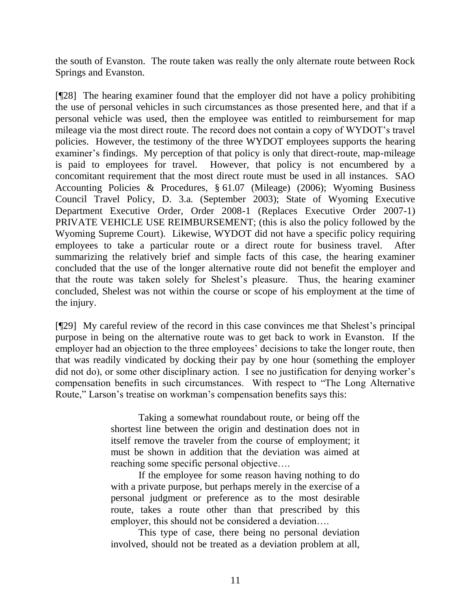the south of Evanston. The route taken was really the only alternate route between Rock Springs and Evanston.

[¶28] The hearing examiner found that the employer did not have a policy prohibiting the use of personal vehicles in such circumstances as those presented here, and that if a personal vehicle was used, then the employee was entitled to reimbursement for map mileage via the most direct route. The record does not contain a copy of WYDOT's travel policies. However, the testimony of the three WYDOT employees supports the hearing examiner's findings. My perception of that policy is only that direct-route, map-mileage is paid to employees for travel. However, that policy is not encumbered by a concomitant requirement that the most direct route must be used in all instances. SAO Accounting Policies & Procedures, § 61.07 (Mileage) (2006); Wyoming Business Council Travel Policy, D. 3.a. (September 2003); State of Wyoming Executive Department Executive Order, Order 2008-1 (Replaces Executive Order 2007-1) PRIVATE VEHICLE USE REIMBURSEMENT; (this is also the policy followed by the Wyoming Supreme Court). Likewise, WYDOT did not have a specific policy requiring employees to take a particular route or a direct route for business travel. After summarizing the relatively brief and simple facts of this case, the hearing examiner concluded that the use of the longer alternative route did not benefit the employer and that the route was taken solely for Shelest's pleasure. Thus, the hearing examiner concluded, Shelest was not within the course or scope of his employment at the time of the injury.

[¶29] My careful review of the record in this case convinces me that Shelest's principal purpose in being on the alternative route was to get back to work in Evanston. If the employer had an objection to the three employees' decisions to take the longer route, then that was readily vindicated by docking their pay by one hour (something the employer did not do), or some other disciplinary action. I see no justification for denying worker's compensation benefits in such circumstances. With respect to "The Long Alternative Route," Larson's treatise on workman's compensation benefits says this:

> Taking a somewhat roundabout route, or being off the shortest line between the origin and destination does not in itself remove the traveler from the course of employment; it must be shown in addition that the deviation was aimed at reaching some specific personal objective….

> If the employee for some reason having nothing to do with a private purpose, but perhaps merely in the exercise of a personal judgment or preference as to the most desirable route, takes a route other than that prescribed by this employer, this should not be considered a deviation….

> This type of case, there being no personal deviation involved, should not be treated as a deviation problem at all,